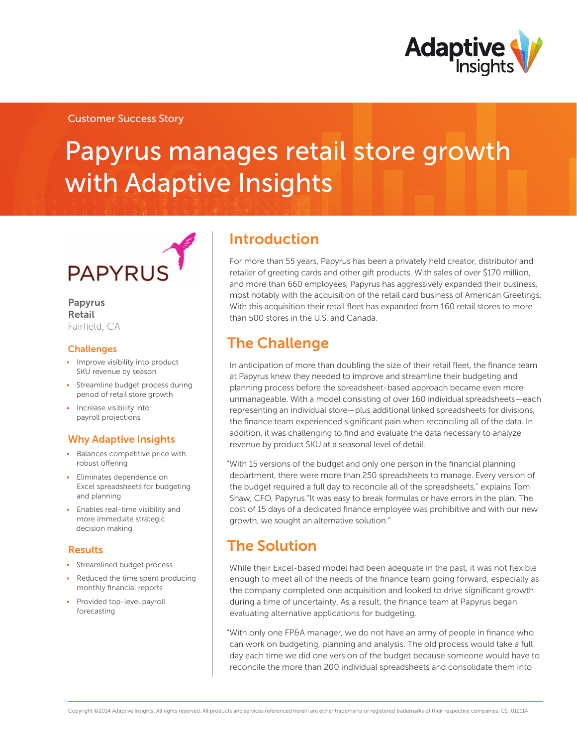

### Customer Success Story

# Papyrus manages retail store growth with Adaptive Insights



Papyrus Retail Fairfield, CA

### **Challenges**

- Improve visibility into product SKU revenue by season
- Streamline budget process during period of retail store growth
- Increase visibility into payroll projections

### Why Adaptive Insights

- Balances competitive price with robust offering
- • Eliminates dependence on Excel spreadsheets for budgeting and planning
- • Enables real-time visibility and more immediate strategic decision making

### Results

- Streamlined budget process
- Reduced the time spent producing monthly financial reports
- Provided top-level payroll forecasting

# Introduction

For more than 55 years, Papyrus has been a privately held creator, distributor and retailer of greeting cards and other gift products. With sales of over \$170 million, and more than 660 employees, Papyrus has aggressively expanded their business, most notably with the acquisition of the retail card business of American Greetings. With this acquisition their retail fleet has expanded from 160 retail stores to more than 500 stores in the U.S. and Canada.

## The Challenge

In anticipation of more than doubling the size of their retail fleet, the finance team at Papyrus knew they needed to improve and streamline their budgeting and planning process before the spreadsheet-based approach became even more unmanageable. With a model consisting of over 160 individual spreadsheets—each representing an individual store—plus additional linked spreadsheets for divisions, the finance team experienced significant pain when reconciling all of the data. In addition, it was challenging to find and evaluate the data necessary to analyze revenue by product SKU at a seasonal level of detail.

"With 15 versions of the budget and only one person in the financial planning department, there were more than 250 spreadsheets to manage. Every version of the budget required a full day to reconcile all of the spreadsheets," explains Tom Shaw, CFO, Papyrus."It was easy to break formulas or have errors in the plan. The cost of 15 days of a dedicated finance employee was prohibitive and with our new growth, we sought an alternative solution."

# The Solution

While their Excel-based model had been adequate in the past, it was not flexible enough to meet all of the needs of the finance team going forward, especially as the company completed one acquisition and looked to drive significant growth during a time of uncertainty. As a result, the finance team at Papyrus began evaluating alternative applications for budgeting.

"With only one FP&A manager, we do not have an army of people in finance who can work on budgeting, planning and analysis. The old process would take a full day each time we did one version of the budget because someone would have to reconcile the more than 200 individual spreadsheets and consolidate them into